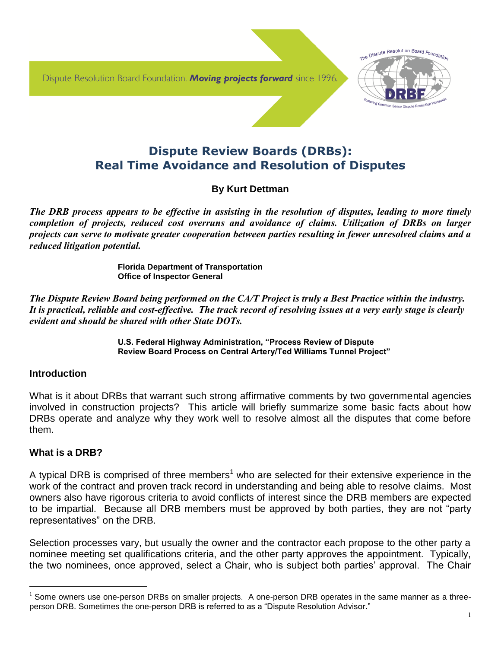Dispute Resolution Board Foundation. Moving projects forward since 1996.



# **Dispute Review Boards (DRBs): Real Time Avoidance and Resolution of Disputes**

# **By Kurt Dettman**

*The DRB process appears to be effective in assisting in the resolution of disputes, leading to more timely completion of projects, reduced cost overruns and avoidance of claims. Utilization of DRBs on larger projects can serve to motivate greater cooperation between parties resulting in fewer unresolved claims and a reduced litigation potential.*

> **Florida Department of Transportation Office of Inspector General**

*The Dispute Review Board being performed on the CA/T Project is truly a Best Practice within the industry. It is practical, reliable and cost-effective. The track record of resolving issues at a very early stage is clearly evident and should be shared with other State DOTs.*

> **U.S. Federal Highway Administration, "Process Review of Dispute Review Board Process on Central Artery/Ted Williams Tunnel Project"**

### **Introduction**

What is it about DRBs that warrant such strong affirmative comments by two governmental agencies involved in construction projects? This article will briefly summarize some basic facts about how DRBs operate and analyze why they work well to resolve almost all the disputes that come before them.

# **What is a DRB?**

l

A typical DRB is comprised of three members<sup>1</sup> who are selected for their extensive experience in the work of the contract and proven track record in understanding and being able to resolve claims. Most owners also have rigorous criteria to avoid conflicts of interest since the DRB members are expected to be impartial. Because all DRB members must be approved by both parties, they are not "party representatives" on the DRB.

Selection processes vary, but usually the owner and the contractor each propose to the other party a nominee meeting set qualifications criteria, and the other party approves the appointment. Typically, the two nominees, once approved, select a Chair, who is subject both parties' approval. The Chair

 $1$  Some owners use one-person DRBs on smaller projects. A one-person DRB operates in the same manner as a threeperson DRB. Sometimes the one-person DRB is referred to as a "Dispute Resolution Advisor."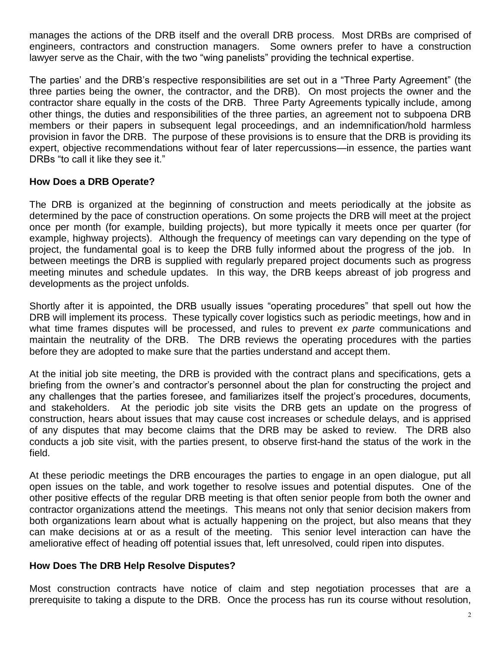manages the actions of the DRB itself and the overall DRB process. Most DRBs are comprised of engineers, contractors and construction managers. Some owners prefer to have a construction lawyer serve as the Chair, with the two "wing panelists" providing the technical expertise.

The parties' and the DRB's respective responsibilities are set out in a "Three Party Agreement" (the three parties being the owner, the contractor, and the DRB). On most projects the owner and the contractor share equally in the costs of the DRB. Three Party Agreements typically include, among other things, the duties and responsibilities of the three parties, an agreement not to subpoena DRB members or their papers in subsequent legal proceedings, and an indemnification/hold harmless provision in favor the DRB. The purpose of these provisions is to ensure that the DRB is providing its expert, objective recommendations without fear of later repercussions—in essence, the parties want DRBs "to call it like they see it."

## **How Does a DRB Operate?**

The DRB is organized at the beginning of construction and meets periodically at the jobsite as determined by the pace of construction operations. On some projects the DRB will meet at the project once per month (for example, building projects), but more typically it meets once per quarter (for example, highway projects). Although the frequency of meetings can vary depending on the type of project, the fundamental goal is to keep the DRB fully informed about the progress of the job. In between meetings the DRB is supplied with regularly prepared project documents such as progress meeting minutes and schedule updates. In this way, the DRB keeps abreast of job progress and developments as the project unfolds.

Shortly after it is appointed, the DRB usually issues "operating procedures" that spell out how the DRB will implement its process. These typically cover logistics such as periodic meetings, how and in what time frames disputes will be processed, and rules to prevent *ex parte* communications and maintain the neutrality of the DRB. The DRB reviews the operating procedures with the parties before they are adopted to make sure that the parties understand and accept them.

At the initial job site meeting, the DRB is provided with the contract plans and specifications, gets a briefing from the owner's and contractor's personnel about the plan for constructing the project and any challenges that the parties foresee, and familiarizes itself the project's procedures, documents, and stakeholders. At the periodic job site visits the DRB gets an update on the progress of construction, hears about issues that may cause cost increases or schedule delays, and is apprised of any disputes that may become claims that the DRB may be asked to review. The DRB also conducts a job site visit, with the parties present, to observe first-hand the status of the work in the field.

At these periodic meetings the DRB encourages the parties to engage in an open dialogue, put all open issues on the table, and work together to resolve issues and potential disputes. One of the other positive effects of the regular DRB meeting is that often senior people from both the owner and contractor organizations attend the meetings. This means not only that senior decision makers from both organizations learn about what is actually happening on the project, but also means that they can make decisions at or as a result of the meeting. This senior level interaction can have the ameliorative effect of heading off potential issues that, left unresolved, could ripen into disputes.

### **How Does The DRB Help Resolve Disputes?**

Most construction contracts have notice of claim and step negotiation processes that are a prerequisite to taking a dispute to the DRB. Once the process has run its course without resolution,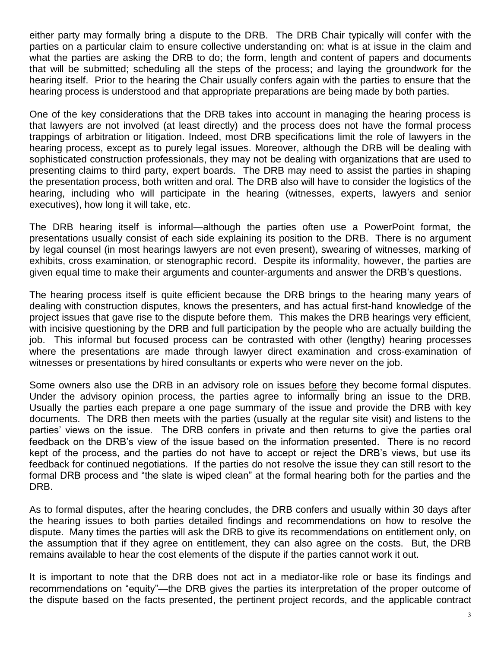either party may formally bring a dispute to the DRB. The DRB Chair typically will confer with the parties on a particular claim to ensure collective understanding on: what is at issue in the claim and what the parties are asking the DRB to do; the form, length and content of papers and documents that will be submitted; scheduling all the steps of the process; and laying the groundwork for the hearing itself. Prior to the hearing the Chair usually confers again with the parties to ensure that the hearing process is understood and that appropriate preparations are being made by both parties.

One of the key considerations that the DRB takes into account in managing the hearing process is that lawyers are not involved (at least directly) and the process does not have the formal process trappings of arbitration or litigation. Indeed, most DRB specifications limit the role of lawyers in the hearing process, except as to purely legal issues. Moreover, although the DRB will be dealing with sophisticated construction professionals, they may not be dealing with organizations that are used to presenting claims to third party, expert boards. The DRB may need to assist the parties in shaping the presentation process, both written and oral. The DRB also will have to consider the logistics of the hearing, including who will participate in the hearing (witnesses, experts, lawyers and senior executives), how long it will take, etc.

The DRB hearing itself is informal—although the parties often use a PowerPoint format, the presentations usually consist of each side explaining its position to the DRB. There is no argument by legal counsel (in most hearings lawyers are not even present), swearing of witnesses, marking of exhibits, cross examination, or stenographic record. Despite its informality, however, the parties are given equal time to make their arguments and counter-arguments and answer the DRB's questions.

The hearing process itself is quite efficient because the DRB brings to the hearing many years of dealing with construction disputes, knows the presenters, and has actual first-hand knowledge of the project issues that gave rise to the dispute before them. This makes the DRB hearings very efficient, with incisive questioning by the DRB and full participation by the people who are actually building the job. This informal but focused process can be contrasted with other (lengthy) hearing processes where the presentations are made through lawyer direct examination and cross-examination of witnesses or presentations by hired consultants or experts who were never on the job.

Some owners also use the DRB in an advisory role on issues before they become formal disputes. Under the advisory opinion process, the parties agree to informally bring an issue to the DRB. Usually the parties each prepare a one page summary of the issue and provide the DRB with key documents. The DRB then meets with the parties (usually at the regular site visit) and listens to the parties' views on the issue. The DRB confers in private and then returns to give the parties oral feedback on the DRB's view of the issue based on the information presented. There is no record kept of the process, and the parties do not have to accept or reject the DRB's views, but use its feedback for continued negotiations. If the parties do not resolve the issue they can still resort to the formal DRB process and "the slate is wiped clean" at the formal hearing both for the parties and the DRB.

As to formal disputes, after the hearing concludes, the DRB confers and usually within 30 days after the hearing issues to both parties detailed findings and recommendations on how to resolve the dispute. Many times the parties will ask the DRB to give its recommendations on entitlement only, on the assumption that if they agree on entitlement, they can also agree on the costs. But, the DRB remains available to hear the cost elements of the dispute if the parties cannot work it out.

It is important to note that the DRB does not act in a mediator-like role or base its findings and recommendations on "equity"—the DRB gives the parties its interpretation of the proper outcome of the dispute based on the facts presented, the pertinent project records, and the applicable contract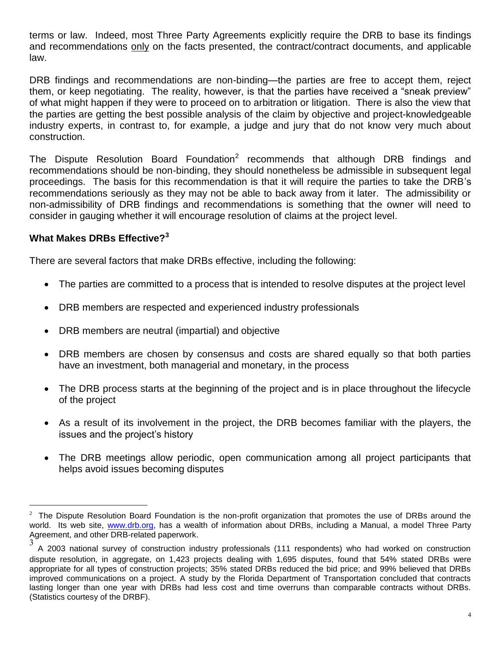terms or law. Indeed, most Three Party Agreements explicitly require the DRB to base its findings and recommendations only on the facts presented, the contract/contract documents, and applicable law.

DRB findings and recommendations are non-binding—the parties are free to accept them, reject them, or keep negotiating. The reality, however, is that the parties have received a "sneak preview" of what might happen if they were to proceed on to arbitration or litigation. There is also the view that the parties are getting the best possible analysis of the claim by objective and project-knowledgeable industry experts, in contrast to, for example, a judge and jury that do not know very much about construction.

The Dispute Resolution Board Foundation<sup>2</sup> recommends that although DRB findings and recommendations should be non-binding, they should nonetheless be admissible in subsequent legal proceedings. The basis for this recommendation is that it will require the parties to take the DRB's recommendations seriously as they may not be able to back away from it later. The admissibility or non-admissibility of DRB findings and recommendations is something that the owner will need to consider in gauging whether it will encourage resolution of claims at the project level.

# **What Makes DRBs Effective?<sup>3</sup>**

There are several factors that make DRBs effective, including the following:

- The parties are committed to a process that is intended to resolve disputes at the project level
- DRB members are respected and experienced industry professionals
- DRB members are neutral (impartial) and objective
- DRB members are chosen by consensus and costs are shared equally so that both parties have an investment, both managerial and monetary, in the process
- The DRB process starts at the beginning of the project and is in place throughout the lifecycle of the project
- As a result of its involvement in the project, the DRB becomes familiar with the players, the issues and the project's history
- The DRB meetings allow periodic, open communication among all project participants that helps avoid issues becoming disputes

l  $2$  The Dispute Resolution Board Foundation is the non-profit organization that promotes the use of DRBs around the world. Its web site, [www.drb.org,](http://www.drb.org/) has a wealth of information about DRBs, including a Manual, a model Three Party Agreement, and other DRB-related paperwork.

<sup>3</sup> A 2003 national survey of construction industry professionals (111 respondents) who had worked on construction dispute resolution, in aggregate, on 1,423 projects dealing with 1,695 disputes, found that 54% stated DRBs were appropriate for all types of construction projects; 35% stated DRBs reduced the bid price; and 99% believed that DRBs improved communications on a project. A study by the Florida Department of Transportation concluded that contracts lasting longer than one year with DRBs had less cost and time overruns than comparable contracts without DRBs. (Statistics courtesy of the DRBF).